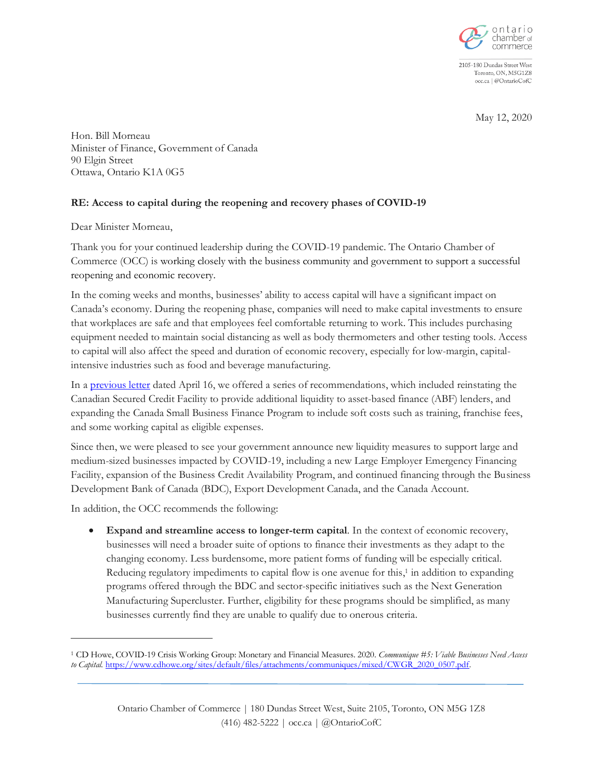

2105-180 Dundas Street West Toronto, ON, M5G1Z8 occ.ca | @OntarioCofC

May 12, 2020

Hon. Bill Morneau Minister of Finance, Government of Canada 90 Elgin Street Ottawa, Ontario K1A 0G5

## **RE: Access to capital during the reopening and recovery phases of COVID-19**

Dear Minister Morneau,

Thank you for your continued leadership during the COVID-19 pandemic. The Ontario Chamber of Commerce (OCC) is working closely with the business community and government to support a successful reopening and economic recovery.

In the coming weeks and months, businesses' ability to access capital will have a significant impact on Canada's economy. During the reopening phase, companies will need to make capital investments to ensure that workplaces are safe and that employees feel comfortable returning to work. This includes purchasing equipment needed to maintain social distancing as well as body thermometers and other testing tools. Access to capital will also affect the speed and duration of economic recovery, especially for low-margin, capitalintensive industries such as food and beverage manufacturing.

In a [previous letter](https://occ.ca/wp-content/uploads/Access-to-capital-during-the-COVID-19-pandemic.pdf) dated April 16, we offered a series of recommendations, which included reinstating the Canadian Secured Credit Facility to provide additional liquidity to asset-based finance (ABF) lenders, and expanding the Canada Small Business Finance Program to include soft costs such as training, franchise fees, and some working capital as eligible expenses.

Since then, we were pleased to see your government announce new liquidity measures to support large and medium-sized businesses impacted by COVID-19, including a new Large Employer Emergency Financing Facility, expansion of the Business Credit Availability Program, and continued financing through the Business Development Bank of Canada (BDC), Export Development Canada, and the Canada Account.

In addition, the OCC recommends the following:

• **Expand and streamline access to longer-term capital**. In the context of economic recovery, businesses will need a broader suite of options to finance their investments as they adapt to the changing economy. Less burdensome, more patient forms of funding will be especially critical. Reducing regulatory impediments to capital flow is one avenue for this,<sup>1</sup> in addition to expanding programs offered through the BDC and sector-specific initiatives such as the Next Generation Manufacturing Supercluster. Further, eligibility for these programs should be simplified, as many businesses currently find they are unable to qualify due to onerous criteria.

<sup>1</sup> CD Howe, COVID-19 Crisis Working Group: Monetary and Financial Measures. 2020. *Communique #5: Viable Businesses Need Access to Capital.* [https://www.cdhowe.org/sites/default/files/attachments/communiques/mixed/CWGR\\_2020\\_0507.pdf.](https://www.cdhowe.org/sites/default/files/attachments/communiques/mixed/CWGR_2020_0507.pdf)